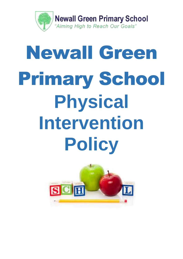

# Newall Green Primary School **Physical Intervention Policy**

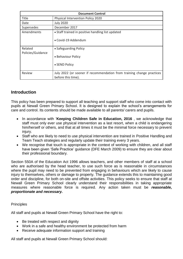|                              | <b>Document Control</b>                                                                     |
|------------------------------|---------------------------------------------------------------------------------------------|
| <b>Title</b>                 | Physical Intervention Policy 2020                                                           |
| Date                         | <b>July 2020</b>                                                                            |
| Supersedes                   | December 2017                                                                               |
| Amendments                   | • Staff trained in positive handling list updated                                           |
|                              | • Covid-19 Addendum                                                                         |
| Related<br>Policies/Guidance | • Safeguarding Policy                                                                       |
|                              | • Behaviour Policy                                                                          |
|                              | • SEND Policy                                                                               |
| Review                       | July 2022 (or sooner if recommendation from training change practices<br>before this time). |

# **Introduction**

This policy has been prepared to support all teaching and support staff who come into contact with pupils at Newall Green Primary School. It is designed to explain the school's arrangements for care and control. Its contents should be made available to all parents/ carers and pupils.

- In accordance with '**Keeping Children Safe in Education, 2016** , we acknowledge that staff must only ever use physical intervention as a last resort, when a child is endangering him/herself or others, and that at all times it must be the minimal force necessary to prevent injury.
- Staff who are likely to need to use physical intervention are trained in Positive Handling and Team Teach strategies and regularly update their training every 3 years.
- We recognise that touch is appropriate in the context of working with children, and all staff have been given 'Safe Practice' guidance (DFE March 2009) to ensure they are clear about their professional boundary.

Section 550A of the Education Act 1996 allows teachers, and other members of staff at a school who are authorised by the head teacher, to use such force as is reasonable in circumstances where the pupil may need to be prevented from engaging in behaviours which are likely to cause injury to themselves, others or damage to property. The guidance extends this to maintaining good order and discipline, for both on-site and offsite activities. This policy seeks to ensure that staff at Newall Green Primary School clearly understand their responsibilities in taking appropriate measures where reasonable force is required. Any action taken must be *reasonable, proportionate and necessary.*

## **Principles**

All staff and pupils at Newall Green Primary School have the right to:

- Be treated with respect and dignity
- Work in a safe and healthy environment be protected from harm
- Receive adequate information support and training

All staff and pupils at Newall Green Primary School should: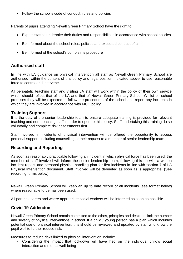• Follow the school's code of conduct, rules and policies

Parents of pupils attending Newall Green Primary School have the right to:

- Expect staff to undertake their duties and responsibilities in accordance with school policies
- Be informed about the school rules, policies and expected conduct of all
- Be informed of the school's complaints procedure

# **Authorised staff**

In line with LA guidance on physical intervention all staff as Newall Green Primary School are authorised, within the content of this policy and legal position indicated above, to use reasonable force to control and intervene.

All peripatetic teaching staff and visiting LA staff will work within the policy of their own service which should reflect that of the LA and that of Newall Green Primary School. Whilst on school premises they will be expected to follow the procedures of the school and report any incidents in which they are involved in accordance with MCC policy.

## **Training Support**

It is the duty of the senior leadership team to ensure adequate training is provided for relevant teaching and non- teaching staff in order to operate this policy. Staff undertaking this training do so voluntarily and complete risk assessments first.

Staff involved in incidents of physical intervention will be offered the opportunity to access personal support, including counselling at their request to a member of senior leadership team.

# **Recording and Reporting**

As soon as reasonably practicable following an incident in which physical force has been used, the member of staff involved will inform the senior leadership team, following this up with a written incident report, and personal physical handling plan for first incidents in line with section 7 of LA Physical Intervention document. Staff involved will be debriefed as soon as is appropriate. (See recording forms below)

Newall Green Primary School will keep an up to date record of all incidents (see format below) where reasonable force has been used.

All parents, carers and where appropriate social workers will be informed as soon as possible.

## **Covid-19 Addendum**

Newall Green Primary School remain committed to the ethos, principles and desire to limit the number and severity of physical interventions in school. If a child / young person has a plan which includes potential use of physical intervention, this should be reviewed and updated by staff who know the pupil well to further reduce risk.

Measures to reduce risks linked to physical intervention include:

- Considering the impact that lockdown will have had on the individual child's social interaction and mental well-being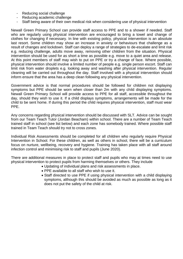- Reducing social challenge
- Reducing academic challenge
- Staff being aware of their own medical risk when considering use of physical intervention

Newall Green Primary School can provide staff access to PPE and to a shower if needed. Staff who are regularly using physical intervention are encouraged to bring a towel and change of clothes for changing if necessary. In line with existing policy, physical intervention is an absolute last resort. Some children may show an increase in anxiety or behaviours that challenge as a result of changes and lockdown. Staff can deploy a range of strategies to de-escalate and limit risk e.g. reducing challenge, adults move away, removing other children from the situation. Physical intervention should be used for as short a time as possible e.g. move to a quiet area and release. At this point members of staff may wish to put on PPE or try a change of face. Where possible, physical intervention should involve a limited number of people e.g. single person escort. Staff can limit risk from water droplets e.g. looking away and washing after physical intervention. Regular cleaning will be carried out throughout the day. Staff involved with a physical intervention should inform ensure that the area has a deep clean following any physical intervention.

Government advice is that normal procedures should be followed for children not displaying symptoms but PPE should be worn when closer than 2m with any child displaying symptoms. Newall Green Primary School will provide access to PPE for all staff, accessible throughout the day, should they wish to use it. If a child displays symptoms, arrangements will be made for the child to be sent home. If during this period the child requires physical intervention, staff must wear PPE.

Any concerns regarding physical intervention should be discussed with SLT. Advice can be sought from our Team Teach Tutor (Jordan Beacham) within school. There are a number of Team Teach trained staff in school (see list below) and each zone has somebody trained. Where possible staff trained in Team Teach should try not to cross zones.

Individual Risk Assessments should be completed for all children who regularly require Physical Intervention in School. For these children, as well as others in school, there will be a curriculum focus on nurture, wellbeing, recovery and hygiene. Training has taken place with all staff around infection control and minimising risk to staff and pupils (June 2020).

There are additional measures in place to protect staff and pupils who may at times need to use physical intervention to protect pupils from harming themselves or others. They include

- Updating of individual plans and risk assessments in place.
	- PPE available to all staff who wish to use it.
	- Staff directed to use PPE if using physical intervention with a child displaying symptoms, although this should be avoided as much as possible as long as it does not put the safety of the child at risk.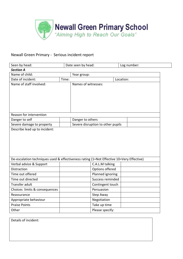

# Newall Green Primary - Serious incident report

| Seen by head:                                                                            |             | Date seen by head:  |                                   |           | Log number: |
|------------------------------------------------------------------------------------------|-------------|---------------------|-----------------------------------|-----------|-------------|
| <b>Section A</b>                                                                         |             |                     |                                   |           |             |
| Name of child:                                                                           | Year group: |                     |                                   |           |             |
| Date of incident:                                                                        | Time:       |                     |                                   | Location: |             |
| Name of staff involved:                                                                  |             | Names of witnesses: |                                   |           |             |
|                                                                                          |             |                     |                                   |           |             |
|                                                                                          |             |                     |                                   |           |             |
|                                                                                          |             |                     |                                   |           |             |
|                                                                                          |             |                     |                                   |           |             |
| Reason for intervention                                                                  |             |                     |                                   |           |             |
| Danger to self                                                                           |             | Danger to others    |                                   |           |             |
| Severe damage to property                                                                |             |                     | Severe disruption to other pupils |           |             |
| Describe lead up to incident:                                                            |             |                     |                                   |           |             |
|                                                                                          |             |                     |                                   |           |             |
|                                                                                          |             |                     |                                   |           |             |
|                                                                                          |             |                     |                                   |           |             |
|                                                                                          |             |                     |                                   |           |             |
|                                                                                          |             |                     |                                   |           |             |
| De-escalation techniques used & effectiveness rating (1=Not Effective 10=Very Effective) |             |                     |                                   |           |             |
| Verbal advice & Support                                                                  |             |                     | C.A.L.M talking                   |           |             |
| Distraction                                                                              |             |                     | Options offered                   |           |             |
| Time out offered                                                                         |             |                     | Planned ignoring                  |           |             |
| Time out directed                                                                        |             |                     | Success reminded                  |           |             |
| Transfer adult                                                                           |             |                     | Contingent touch                  |           |             |
| Choices limits & consequences                                                            |             |                     | Persuasion                        |           |             |
| Reassurance                                                                              |             |                     | Step Away                         |           |             |
| Appropriate behaviour                                                                    |             |                     | Negotiation                       |           |             |
| <b>Praise Points</b>                                                                     |             |                     | Take up time                      |           |             |
| Other                                                                                    |             |                     | Please specify:                   |           |             |

Details of incident: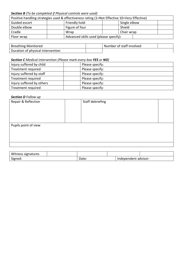## *Section B (To be completed if Physical controls were used)*

| Positive handling strategies used & effectiveness rating (1=Not Effective 10=Very Effective) |      |                                        |  |              |  |  |
|----------------------------------------------------------------------------------------------|------|----------------------------------------|--|--------------|--|--|
| Guided escort                                                                                |      | Friendly hold                          |  | Single elbow |  |  |
| Double elbow                                                                                 |      | Figure of four                         |  | Shield       |  |  |
| Cradle                                                                                       | Wrap |                                        |  | Chair wrap   |  |  |
| Floor wrap                                                                                   |      | Advanced skills used (please specify): |  |              |  |  |

| <b>Breathing Monitored</b>        | Number of staff involved |  |
|-----------------------------------|--------------------------|--|
| Duration of physical intervention |                          |  |

#### *Section C Medical intervention (Please mark every box YES or NO)*

| Injury suffered by child  | Please specify: |
|---------------------------|-----------------|
| Treatment required        | Please specify: |
| Injury suffered by staff  | Please specify: |
| Treatment required        | Please specify: |
| Injury suffered by others | Please specify: |
| Treatment required        | Please specify: |

#### *Section D Follow up*

| Repair & Reflection  | Staff debriefing |  |
|----------------------|------------------|--|
|                      |                  |  |
|                      |                  |  |
|                      |                  |  |
| Pupils point of view |                  |  |
|                      |                  |  |
|                      |                  |  |
|                      |                  |  |
|                      |                  |  |

| Witness signatures |       |                      |  |
|--------------------|-------|----------------------|--|
| Signed:            | Date: | Independent advisor: |  |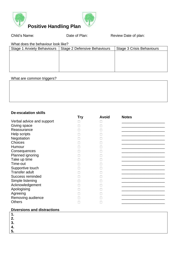

Child's Name: Child's Name: Date of Plan: Review Date of plan:

What does the behaviour look like?

| Stage 1 Anxiety Behaviours | Stage 2 Defensive Behaviours | Stage 3 Crisis Behaviours |
|----------------------------|------------------------------|---------------------------|
|                            |                              |                           |
|                            |                              |                           |
|                            |                              |                           |
|                            |                              |                           |
|                            |                              |                           |

#### What are common triggers?

## **De-escalation skills**

|                           | Try | <b>Avoid</b> | <b>Notes</b> |
|---------------------------|-----|--------------|--------------|
| Verbal advice and support |     |              |              |
| Giving space              |     |              |              |
| Reassurance               |     |              |              |
| Help scripts              |     |              |              |
| Negotiation               |     |              |              |
| Choices                   |     |              |              |
| Humour                    |     |              |              |
| Consequences              |     |              |              |
| Planned ignoring          |     |              |              |
| Take up time              |     |              |              |
| Time-out                  |     |              |              |
| Supportive touch          |     |              |              |
| <b>Transfer adult</b>     |     |              |              |
| Success reminded          |     |              |              |
| Simple listening          |     |              |              |
| Acknowledgement           |     |              |              |
| Apologising               |     |              |              |
| Agreeing                  |     |              |              |
| Removing audience         |     |              |              |
| <b>Others</b>             |     |              |              |
|                           |     |              |              |

# **Diversions and distractions**

**1.** 

**2. 3.** 

**4.**

**5.**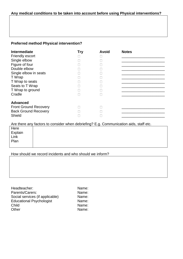## **Any medical conditions to be taken into account before using Physical interventions?**

# **Preferred method Physical intervention?**

| <b>Intermediate</b>          | <b>Try</b> | <b>Avoid</b> | <b>Notes</b> |
|------------------------------|------------|--------------|--------------|
| <b>Friendly escort</b>       |            |              |              |
| Single elbow                 |            |              |              |
| Figure of four               |            |              |              |
| Double elbow                 |            |              |              |
| Single elbow in seats        |            |              |              |
| T Wrap                       |            |              |              |
| T Wrap to seats              |            |              |              |
| Seats to T Wrap              |            |              |              |
| T Wrap to ground             |            |              |              |
| Cradle                       |            |              |              |
|                              |            |              |              |
| <b>Advanced</b>              |            |              |              |
| <b>Front Ground Recovery</b> |            |              |              |
| <b>Back Ground Recovery</b>  |            |              |              |
| Shield                       |            |              |              |

Are there any factors to consider when debriefing? E.g. Communication aids, staff etc.

| Here    |  |  |
|---------|--|--|
| Explain |  |  |
| ' Link  |  |  |
| Plan    |  |  |
|         |  |  |

## How should we record incidents and who should we inform?

| Headteacher:                    | Name: |
|---------------------------------|-------|
| Parents/Carers:                 | Name: |
| Social services (if applicable) | Name: |
| <b>Educational Psychologist</b> | Name: |
| Child                           | Name: |
| Other                           | Name: |